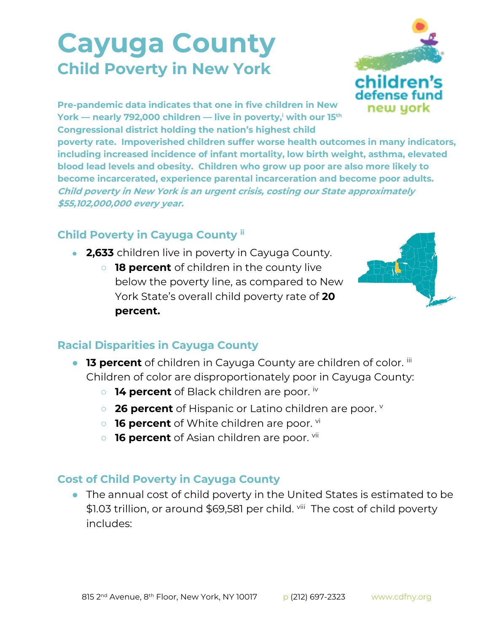## **Cayuga County Child Poverty in New York**



**Pre-pandemic data indicates that one in five children in New York — nearly 792,000 children — live in poverty,<sup>i</sup> with our 15th Congressional district holding the nation's highest child** 

**poverty rate. Impoverished children suffer worse health outcomes in many indicators, including increased incidence of infant mortality, low birth weight, asthma, elevated blood lead levels and obesity. Children who grow up poor are also more likely to become incarcerated, experience parental incarceration and become poor adults. Child poverty in New York is an urgent crisis, costing our State approximately \$55,102,000,000 every year.**

## **Child Poverty in Cayuga County ii**

- 2,633 children live in poverty in Cayuga County.
	- **18 percent** of children in the county live below the poverty line, as compared to New York State's overall child poverty rate of **20 percent.**



## **Racial Disparities in Cayuga County**

- **13 percent** of children in Cayuga County are children of color. iii Children of color are disproportionately poor in Cayuga County:
	- **14 percent** of Black children are poor. iv
	- **26 percent** of Hispanic or Latino children are poor. **v**
	- **16 percent** of White children are poor. <sup>vi</sup>
	- **16 percent** of Asian children are poor. vii

## **Cost of Child Poverty in Cayuga County**

● The annual cost of child poverty in the United States is estimated to be \$1.03 trillion, or around \$69,581 per child. viii The cost of child poverty includes: